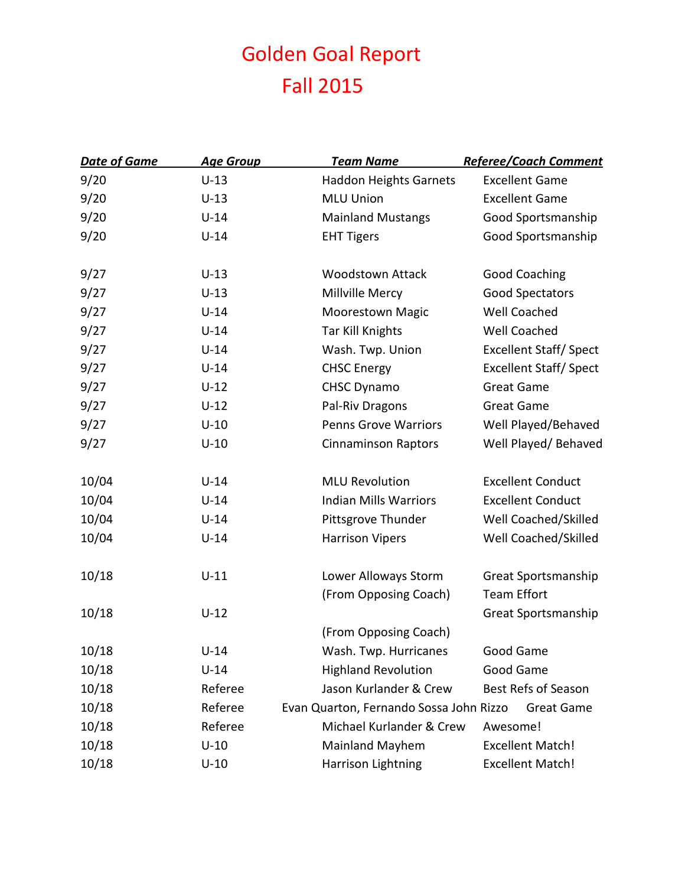## Golden Goal Report Fall 2015

| <b>Date of Game</b> | <b>Age Group</b> | <b>Team Name</b>                        | <b>Referee/Coach Comment</b>  |
|---------------------|------------------|-----------------------------------------|-------------------------------|
| 9/20                | $U-13$           | <b>Haddon Heights Garnets</b>           | <b>Excellent Game</b>         |
| 9/20                | $U-13$           | <b>MLU Union</b>                        | <b>Excellent Game</b>         |
| 9/20                | $U-14$           | <b>Mainland Mustangs</b>                | Good Sportsmanship            |
| 9/20                | $U-14$           | <b>EHT Tigers</b>                       | Good Sportsmanship            |
| 9/27                | $U-13$           | <b>Woodstown Attack</b>                 | <b>Good Coaching</b>          |
| 9/27                | $U-13$           | Millville Mercy                         | Good Spectators               |
| 9/27                | $U-14$           | <b>Moorestown Magic</b>                 | Well Coached                  |
| 9/27                | $U-14$           | Tar Kill Knights                        | Well Coached                  |
| 9/27                | $U-14$           | Wash. Twp. Union                        | <b>Excellent Staff/ Spect</b> |
| 9/27                | $U-14$           | <b>CHSC Energy</b>                      | <b>Excellent Staff/ Spect</b> |
| 9/27                | $U-12$           | <b>CHSC Dynamo</b>                      | <b>Great Game</b>             |
| 9/27                | $U-12$           | Pal-Riv Dragons                         | <b>Great Game</b>             |
| 9/27                | $U-10$           | <b>Penns Grove Warriors</b>             | Well Played/Behaved           |
| 9/27                | $U-10$           | <b>Cinnaminson Raptors</b>              | Well Played/ Behaved          |
| 10/04               | $U-14$           | <b>MLU Revolution</b>                   | <b>Excellent Conduct</b>      |
| 10/04               | $U-14$           | <b>Indian Mills Warriors</b>            | <b>Excellent Conduct</b>      |
| 10/04               | $U-14$           | Pittsgrove Thunder                      | Well Coached/Skilled          |
| 10/04               | $U-14$           | <b>Harrison Vipers</b>                  | Well Coached/Skilled          |
| 10/18               | $U-11$           | Lower Alloways Storm                    | Great Sportsmanship           |
|                     |                  | (From Opposing Coach)                   | <b>Team Effort</b>            |
| 10/18               | $U-12$           |                                         | Great Sportsmanship           |
|                     |                  | (From Opposing Coach)                   |                               |
| 10/18               | $U-14$           | Wash. Twp. Hurricanes                   | Good Game                     |
| 10/18               | $U-14$           | <b>Highland Revolution</b>              | Good Game                     |
| 10/18               | Referee          | Jason Kurlander & Crew                  | <b>Best Refs of Season</b>    |
| 10/18               | Referee          | Evan Quarton, Fernando Sossa John Rizzo | Great Game                    |
| 10/18               | Referee          | Michael Kurlander & Crew                | Awesome!                      |
| 10/18               | $U-10$           | <b>Mainland Mayhem</b>                  | <b>Excellent Match!</b>       |
| 10/18               | $U-10$           | Harrison Lightning                      | <b>Excellent Match!</b>       |